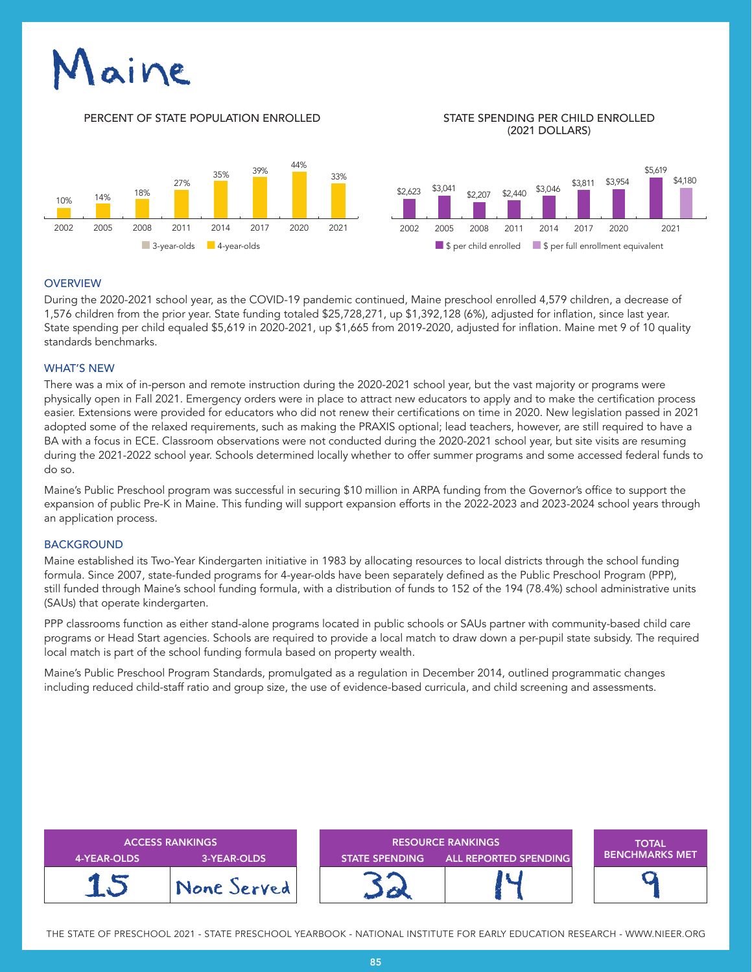# aine

#### PERCENT OF STATE POPULATION ENROLLED STATE SPENDING PER CHILD ENROLLED

# (2021 DOLLARS)



### **OVERVIEW**

During the 2020-2021 school year, as the COVID-19 pandemic continued, Maine preschool enrolled 4,579 children, a decrease of 1,576 children from the prior year. State funding totaled \$25,728,271, up \$1,392,128 (6%), adjusted for inflation, since last year. State spending per child equaled \$5,619 in 2020-2021, up \$1,665 from 2019-2020, adjusted for inflation. Maine met 9 of 10 quality standards benchmarks.

## WHAT'S NEW

There was a mix of in-person and remote instruction during the 2020-2021 school year, but the vast majority or programs were physically open in Fall 2021. Emergency orders were in place to attract new educators to apply and to make the certification process easier. Extensions were provided for educators who did not renew their certifications on time in 2020. New legislation passed in 2021 adopted some of the relaxed requirements, such as making the PRAXIS optional; lead teachers, however, are still required to have a BA with a focus in ECE. Classroom observations were not conducted during the 2020-2021 school year, but site visits are resuming during the 2021-2022 school year. Schools determined locally whether to offer summer programs and some accessed federal funds to do so.

Maine's Public Preschool program was successful in securing \$10 million in ARPA funding from the Governor's office to support the expansion of public Pre-K in Maine. This funding will support expansion efforts in the 2022-2023 and 2023-2024 school years through an application process.

#### BACKGROUND

Maine established its Two-Year Kindergarten initiative in 1983 by allocating resources to local districts through the school funding formula. Since 2007, state-funded programs for 4-year-olds have been separately defined as the Public Preschool Program (PPP), still funded through Maine's school funding formula, with a distribution of funds to 152 of the 194 (78.4%) school administrative units (SAUs) that operate kindergarten.

PPP classrooms function as either stand-alone programs located in public schools or SAUs partner with community-based child care programs or Head Start agencies. Schools are required to provide a local match to draw down a per-pupil state subsidy. The required local match is part of the school funding formula based on property wealth.

Maine's Public Preschool Program Standards, promulgated as a regulation in December 2014, outlined programmatic changes including reduced child-staff ratio and group size, the use of evidence-based curricula, and child screening and assessments.

| <b>ACCESS RANKINGS</b><br><b>3-YEAR-OLDS</b><br>4-YEAR-OLDS |             | <b>RESOURCE RANKINGS</b><br><b>ALL REPORTED SPENDING</b><br><b>STATE SPENDING</b> |  | <b>TOTAL</b><br><b>BENCHMARKS MET</b> |
|-------------------------------------------------------------|-------------|-----------------------------------------------------------------------------------|--|---------------------------------------|
|                                                             | None Served |                                                                                   |  |                                       |

THE STATE OF PRESCHOOL 2021 - STATE PRESCHOOL YEARBOOK - NATIONAL INSTITUTE FOR EARLY EDUCATION RESEARCH - WWW.NIEER.ORG